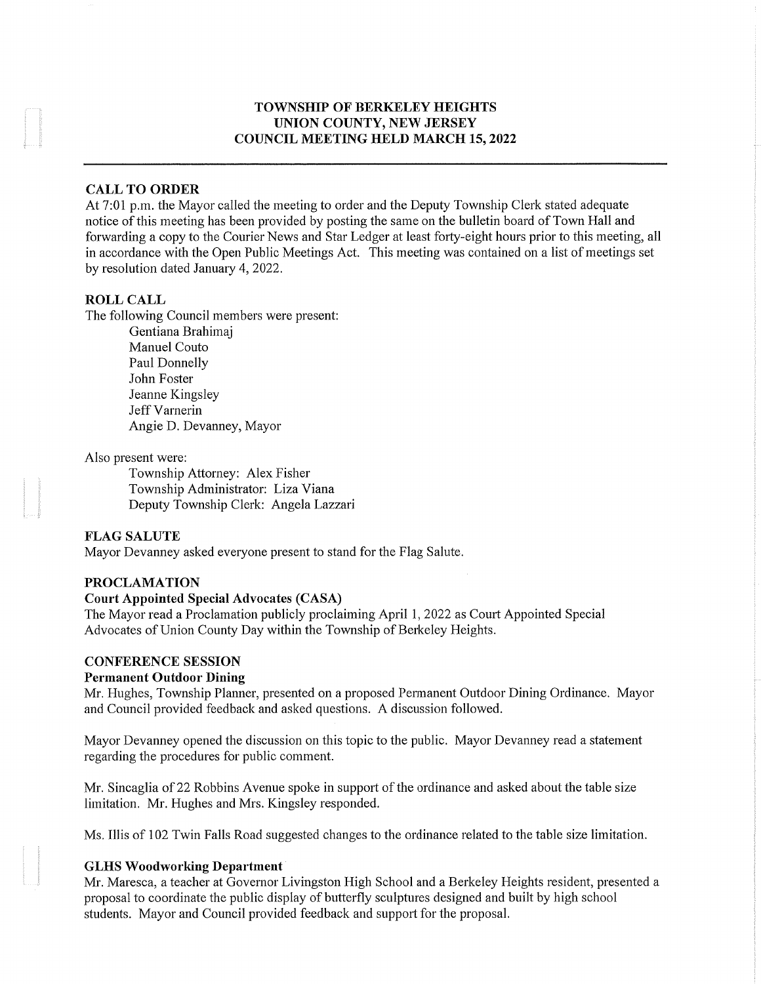### TOWNSHIP OF BERKELEY HEIGHTS UNION COUNTY, NEW JERSEY COUNCIL MEETING HELD MARCH 15, 2022

#### CALL TO ORDER

At 7:01 p.m. the Mayor called the meeting to order and the Deputy Township Clerk stated adequate notice of this meeting has been provided by posting the same on the bulletin board of Town Hall and forwarding a copy to the Courier News and Star Ledger at least forty-eight hours prior to this meeting, all in accordance with the Open Public Meetings Act. This meeting was contained on a list of meetings set by resolution dated January 4, 2022.

#### ROLL CALL

The following Council members were present:

Gentiana Brahimaj Manuel Couto Paul Donnelly John Foster Jeanne Kingsley Jeff Varnerin Angie D. Devanney, Mayor

#### Also present were:

Township Attorney: Alex Fisher Township Administrator: Liza Viana Deputy Township Clerk: Angela Lazzari

### FLAG SALUTE

Mayor Devanney asked everyone present to stand for the Flag Salute.

#### PROCLAMATION

#### Court Appointed Special Advocates (CASA)

The Mayor read a Proclamation publicly proclaiming April 1, 2022 as Court Appointed Special Advocates of Union County Day within the Township of Berkeley Heights.

#### CONFERENCE SESSION

#### Permanent Outdoor Dining

Mr. Hughes, Township Planner, presented on a proposed Permanent Outdoor Dining Ordinance. Mayor and Council provided feedback and asked questions. A discussion followed.

Mayor Devanney opened the discussion on this topic to the public. Mayor Devanney read a statement regarding the procedures for public comment.

Mr. Sincaglia of 22 Robbins Avenue spoke in support of the ordinance and asked about the table size limitation. Mr. Hughes and Mrs. Kingsley responded.

Ms. Illis of 102 Twin Falls Road suggested changes to the ordinance related to the table size limitation.

#### GLHS Woodworking Department

Mr. Maresca, a teacher at Governor Livingston High School and a Berkeley Heights resident, presented a proposal to coordinate the public display of butterfly sculptures designed and built by high school students. Mayor and Council provided feedback and support for the proposal.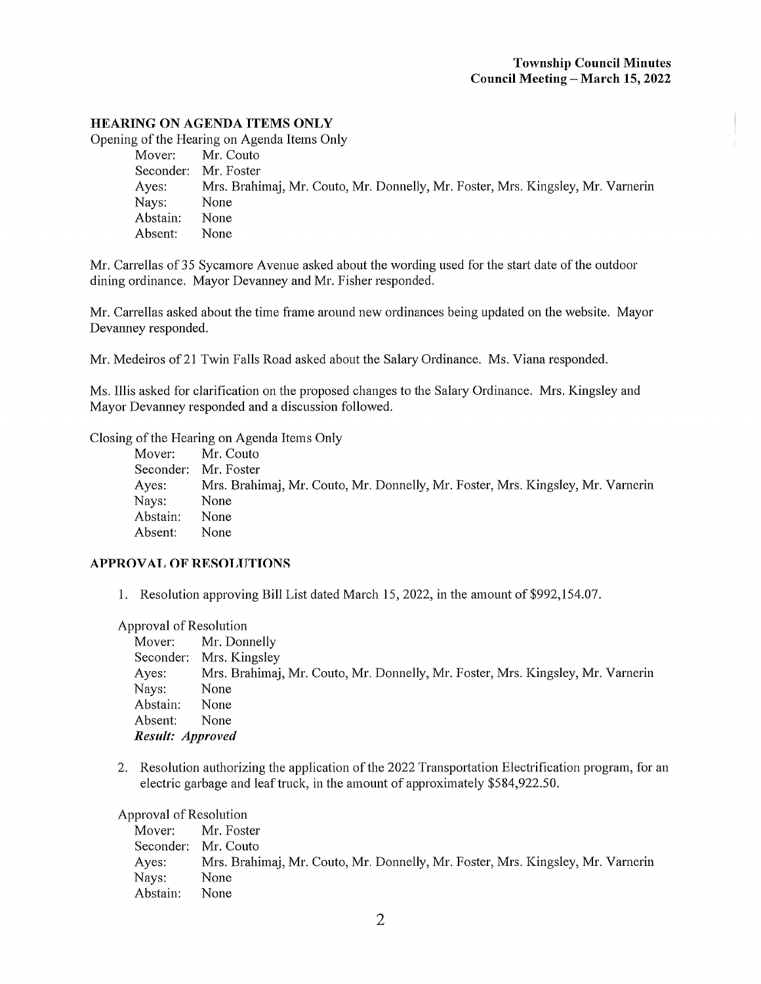## HEARING ON AGENDA ITEMS ONLY

Opening of the Hearing on Agenda Items Only

| Mover:   | Mr. Couto                                                                       |
|----------|---------------------------------------------------------------------------------|
|          | Seconder: Mr. Foster                                                            |
| Ayes:    | Mrs. Brahimaj, Mr. Couto, Mr. Donnelly, Mr. Foster, Mrs. Kingsley, Mr. Varnerin |
| Nays:    | None                                                                            |
| Abstain: | None                                                                            |
| Absent:  | None                                                                            |
|          |                                                                                 |

Mr. Carrellas of 35 Sycamore Avenue asked about the wording used for the start date of the outdoor dining ordinance. Mayor Devanney and Mr. Fisher responded.

Mr. Carrellas asked about the time frame around new ordinances being updated on the website. Mayor Devanney responded.

Mr. Medeiros of 21 Twin Falls Road asked about the Salary Ordinance. Ms. Viana responded.

Ms. Illis asked for clarification on the proposed changes to the Salary Ordinance. Mrs. Kingsley and Mayor Devanney responded and a discussion followed.

Closing of the Hearing on Agenda Items Only

|          | Mover: Mr. Couto                                                                |
|----------|---------------------------------------------------------------------------------|
|          | Seconder: Mr. Foster                                                            |
| Ayes:    | Mrs. Brahimaj, Mr. Couto, Mr. Donnelly, Mr. Foster, Mrs. Kingsley, Mr. Varnerin |
| Nays:    | None                                                                            |
| Abstain: | None                                                                            |
| Absent:  | None                                                                            |
|          |                                                                                 |

### APPROVAL OF RESOLUTIONS

1. Resolution approving Bill List dated March 15, 2022, in the amount of \$992,154.07.

#### Approval of Resolution

|                  | Mover: Mr. Donnelly                                                             |
|------------------|---------------------------------------------------------------------------------|
|                  | Seconder: Mrs. Kingsley                                                         |
| Ayes:            | Mrs. Brahimaj, Mr. Couto, Mr. Donnelly, Mr. Foster, Mrs. Kingsley, Mr. Varnerin |
| Nays:            | None                                                                            |
| Abstain:         | None                                                                            |
| Absent:          | None                                                                            |
| Result: Approved |                                                                                 |

2. Resolution authorizing the application of the 2022 Transportation Electrification program, for an electric garbage and leaf truck, in the amount of approximately \$584,922.50.

### Approval of Resolution

| Mover:   | Mr. Foster                                                                      |
|----------|---------------------------------------------------------------------------------|
|          | Seconder: Mr. Couto                                                             |
| Ayes:    | Mrs. Brahimaj, Mr. Couto, Mr. Donnelly, Mr. Foster, Mrs. Kingsley, Mr. Varnerin |
| Nays:    | None                                                                            |
| Abstain: | None.                                                                           |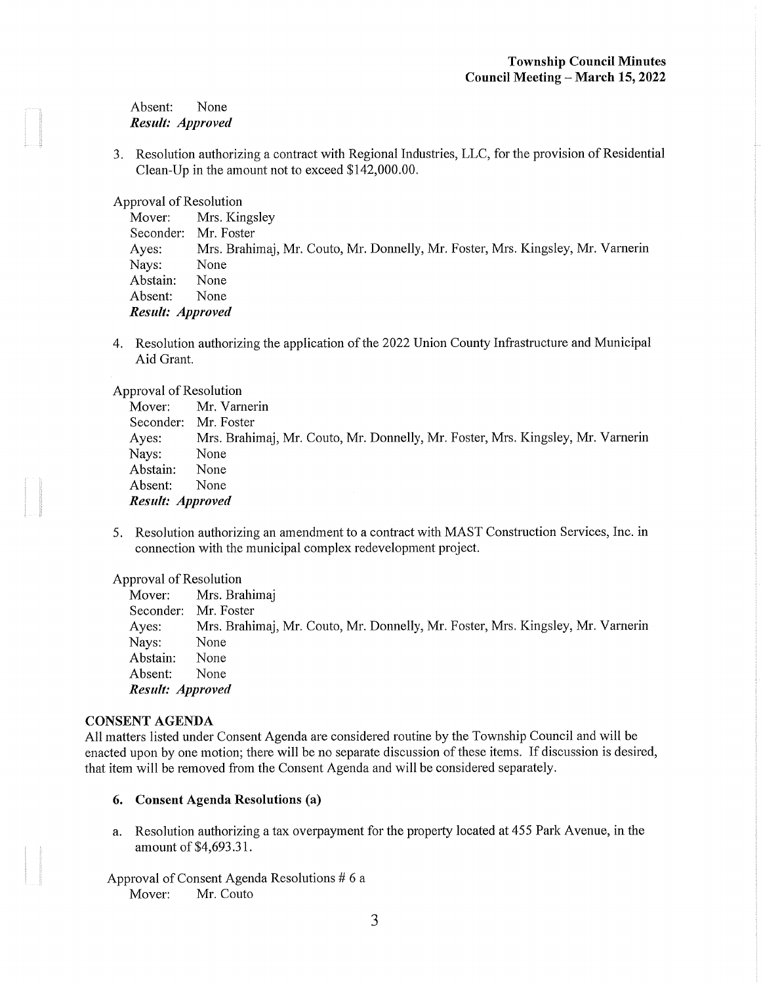### Absent: None Result: Approved

3. Resolution authorizing a contract with Regional Industries, LLC, for the provision of Residential Clean-Up in the amount not to exceed \$142,000.00.

Approval of Resolution

Mover: Mrs. Kingsley Seconder: Mr. Foster Ayes: Mrs. Brahimaj, Mr. Couto, Mr. Donnelly, Mr. Foster, Mrs. Kingsley, Mr. Varnerin Nays: None Abstain: None Absent: None Result: Approved

4. Resolution authorizing the application of the 2022 Union County Infrastructure and Municipal Aid Grant.

Approval of Resolution

| Mover:           | Mr. Varnerin                                                                    |
|------------------|---------------------------------------------------------------------------------|
| Seconder:        | Mr. Foster                                                                      |
| Ayes:            | Mrs. Brahimaj, Mr. Couto, Mr. Donnelly, Mr. Foster, Mrs. Kingsley, Mr. Varnerin |
| Nays:            | None                                                                            |
| Abstain:         | None                                                                            |
| Absent:          | None                                                                            |
| Result: Approved |                                                                                 |

5. Resolution authorizing an amendment to a contract with MAST Construction Services, Inc. in connection with the municipal complex redevelopment project.

Approval of Resolution

Mover: Mrs. Brahimaj Seconder: Mr. Foster Ayes: Mrs. Brahimaj, Mr. Couto, Mr. Donnelly, Mr. Foster, Mrs. Kingsley, Mr. Varnerin Nays: None Abstain: None Absent: None Result: Approved

### CONSENT AGENDA

All matters listed under Consent Agenda are considered routine by the Township Council and will be enacted upon by one motion; there will be no separate discussion of these items. If discussion is desired, that item will be removed from the Consent Agenda and will be considered separately.

- 6. Consent Agenda Resolutions (a)
- a. Resolution authorizing a tax overpayment for the property located at 455 Park Avenue, in the amount of \$4,693.31.
- Approval of Consent Agenda Resolutions # 6 a Mover: Mr. Couto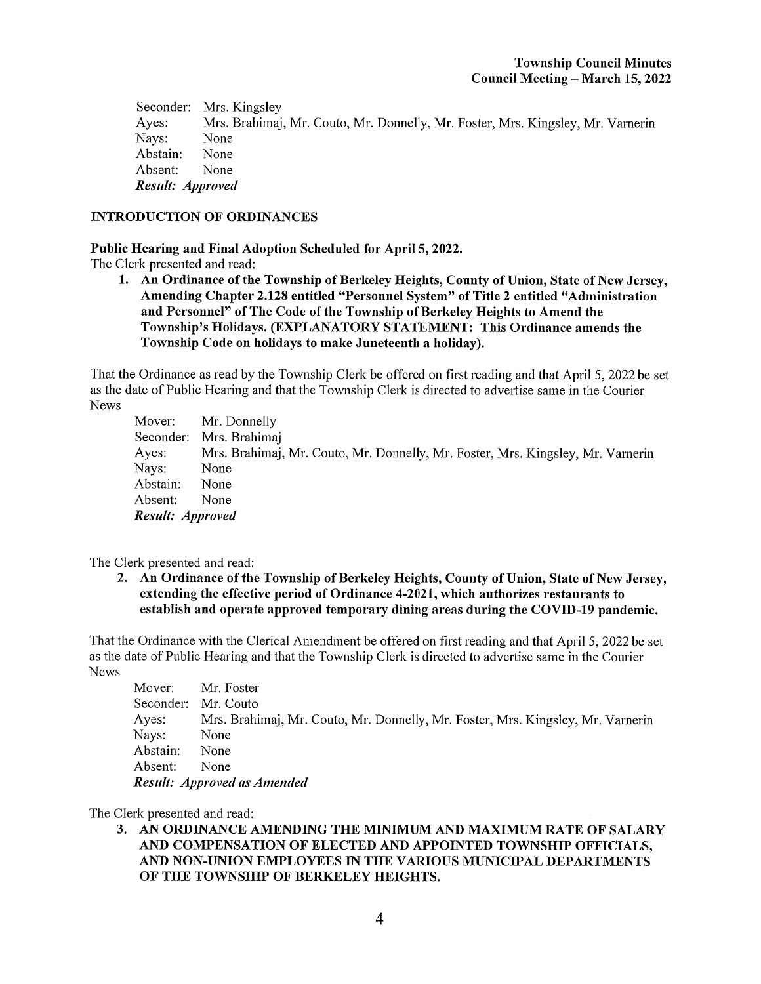Seconder: Mrs. Kingsley Ayes: Mrs. Brahimaj, Mr. Couto, Mr. Donnelly, Mr. Foster, Mrs. Kingsley, Mr. Varnerin<br>Navs: None Nays: Abstain: None Absent: None Result: Approved

### INTRODUCTION OF ORDINANCES

Public Hearing and Final Adoption Scheduled for April 5, 2022.

The Clerk presented and read:

1. An Ordinance of the Township of Berkeley Heights, County of Union, State of New Jersey, Amending Chapter 2.128 entitled "Personnel System" of Title 2 entitled "Administration and Personnel" of The Code of the Township of Berkeley Heights to Amend the Township's Holidays. (EXPLANATORY STATEMENT: This Ordinance amends the Township Code on holidays to make Juneteenth a holiday).

That the Ordinance as read by the Township Clerk be offered on first reading and that April 5, 2022 be set as the date of Public Hearing and that the Township Clerk is directed to advertise same in the Courier News

Mover: Mr. Donnelly Seconder: Mrs. Brahimaj Ayes: Mrs. Brahimaj, Mr. Couto, Mr. Donnelly, Mr. Foster, Mrs. Kingsley, Mr. Varnerin Nays: None Abstain: None Absent: None Result: Approved

The Clerk presented and read:

2. An Ordinance of the Township of Berkeley Heights, County of Union, State of New Jersey, extending the effective period of Ordinance 4-2021, which authorizes restaurants to establish and operate approved temporary dining areas during the COVTO-19 pandemic.

That the Ordinance with the Clerical Amendment be offered on first reading and that April 5, 2022 be set as the date of Public Hearing and that the Township Clerk is directed to advertise same in the Courier News

Mover: Mr. Foster Seconder: Mr. Couto Ayes: Mrs. Brahimaj, Mr. Couto, Mr. Donnelly, Mr. Foster, Mrs. Kingsley, Mr. Varnerin Nays: None Abstain: None Absent: None Result: Approved as Amended

The Clerk presented and read:

3. AN ORDINANCE AMENDING THE MINIMUM AND MAXIMUM RATE OF SALARY AND COMPENSATION OF ELECTED AND APPOINTED TOWNSHIP OFFICIALS, AND NON-UNION EMPLOYEES IN THE VARIOUS MUNICIPAL DEPARTMENTS OF THE TOWNSHIP OF BERKELEY HEIGHTS.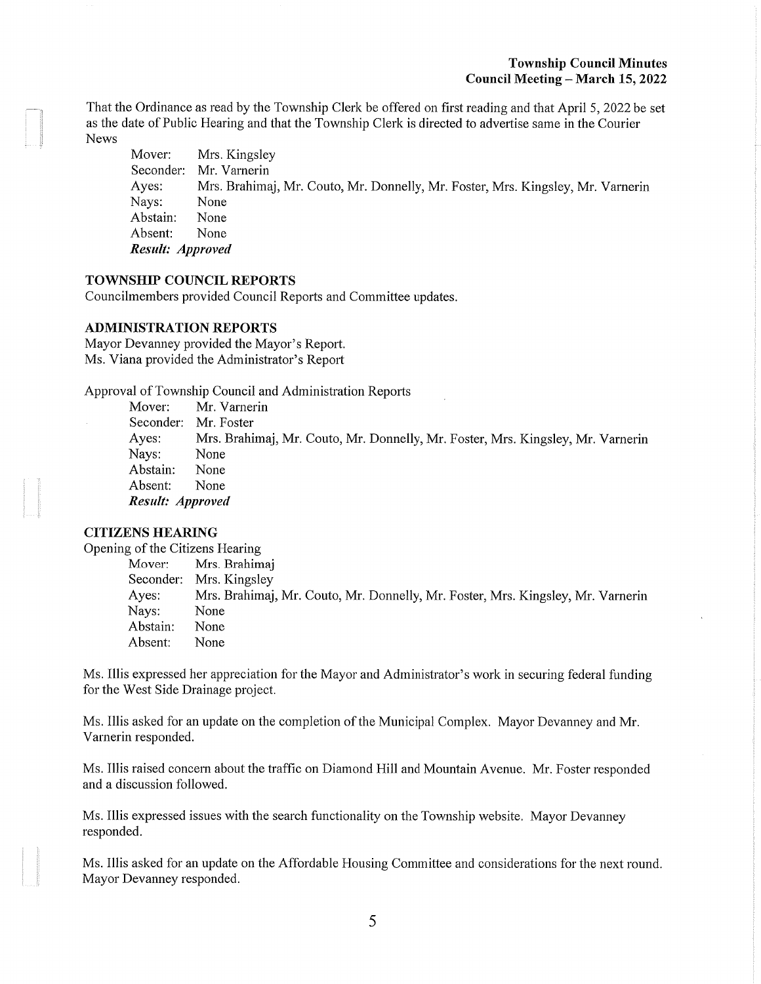### Township Council Minutes Council Meeting - March 15, 2022

That the Ordinance as read by the Township Clerk be offered on first reading and that April 5, 2022 be set as the date of Public Hearing and that the Township Clerk is directed to advertise same in the Courier News

Mover: Mrs. Kingsley Seconder: Mr. Varnerin Ayes: Mrs. Brahimaj, Mr. Couto, Mr. Donnelly, Mr. Foster, Mrs. Kingsley, Mr. Varnerin Nays: None Abstain: None Absent: None Result: Approved

### TOWNSHIP COUNCIL REPORTS

Councilmembers provided Council Reports and Committee updates.

#### ADMINISTRATION REPORTS

Mayor Devanney provided the Mayor's Report. Ms. Viana provided the Administrator's Report

Approval of Township Council and Administration Reports

Mover: Mr. Vamerin Seconder: Mr. Foster Ayes: Mrs. Brahimaj, Mr. Couto, Mr. Donnelly, Mr. Foster, Mrs. Kingsley, Mr. Varnerin Nays: None Abstain: None Absent: None Result: Approved

## CITIZENS HEARING

Opening of the Citizens Hearing

Mover: Mrs. Brahimaj Seconder: Mrs. Kingsley Ayes: Mrs. Brahimaj, Mr. Couto, Mr. Donnelly, Mr. Foster, Mrs. Kingsley, Mr. Vamerin Nays: None Abstain: None Absent: None

Ms. Illis expressed her appreciation for the Mayor and Administrator's work in securing federal funding for the West Side Drainage project.

Ms. Illis asked for an update on the completion of the Municipal Complex. Mayor Devanney and Mr. Varnerin responded.

Ms. Illis raised concern about the traffic on Diamond Hill and Mountain Avenue. Mr. Foster responded and a discussion followed.

Ms. Illis expressed issues with the search functionality on the Township website. Mayor Devanney responded.

Ms. Illis asked for an update on the Affordable Housing Committee and considerations for the next round. Mayor Devanney responded.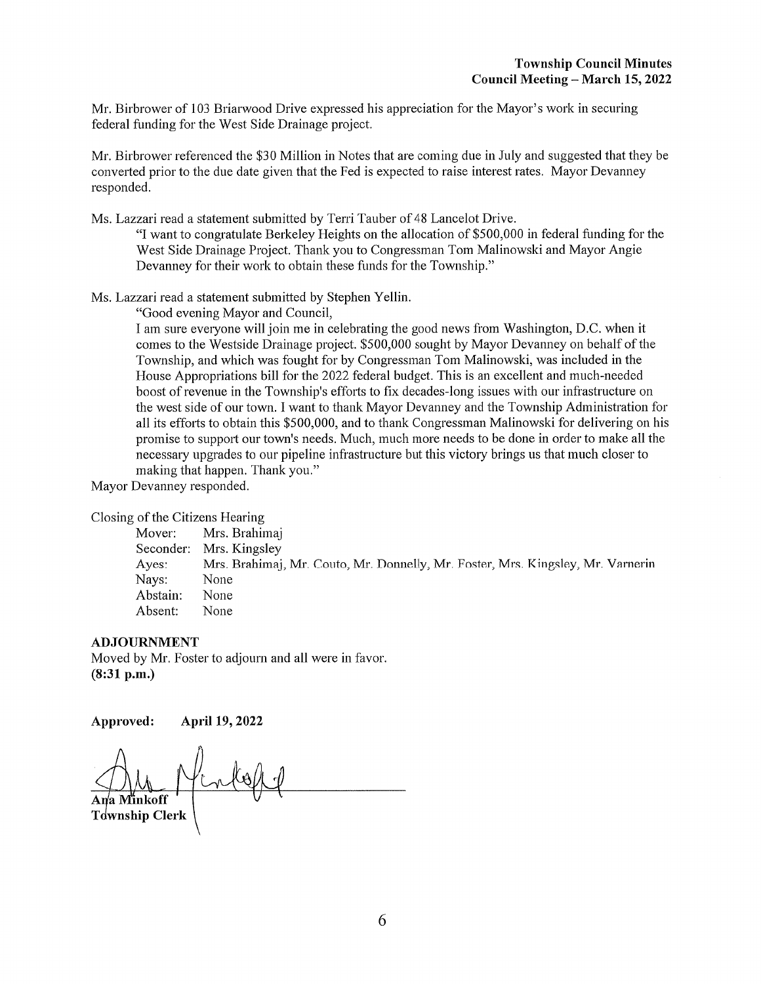Mr. Birbrower of 103 Briarwood Drive expressed his appreciation for the Mayor's work in securing federal funding for the West Side Drainage project.

Mr. Birbrower referenced the \$30 Million in Notes that are coming due in July and suggested that they be converted prior to the due date given that the Fed is expected to raise interest rates. Mayor Devanney responded.

Ms. Lazzari read a statement submitted by Terri Tauber of 48 Lancelot Drive.

"I want to congratulate Berkeley Heights on the allocation of \$500,000 in federal funding for the West Side Drainage Project. Thank you to Congressman Tom Malinowski and Mayor Angie Devanney for their work to obtain these funds for the Township."

Ms. Lazzari read a statement submitted by Stephen Yellin.

"Good evening Mayor and Council,

I am sure everyone will join me in celebrating the good news from Washington, D.C. when it comes to the Westside Drainage project. \$500,000 sought by Mayor Devanney on behalf of the Township, and which was fought for by Congressman Tom Malinowski, was included in the House Appropriations bill for the 2022 federal budget. This is an excellent and much-needed boost of revenue in the Township's efforts to fix decades-long issues with our infrastructure on the west side of our town. I want to thank Mayor Devanney and the Township Administration for all its efforts to obtain this \$500,000, and to thank Congressman Malinowski for delivering on his promise to support our town's needs. Much, much more needs to be done in order to make all the necessary upgrades to our pipeline infrastructure but this victory brings us that much closer to making that happen. Thank you."

Mayor Devanney responded.

Closing of the Citizens Hearing

Mover: Mrs. Brahimaj Seconder: Mrs. Kingsley Ayes: Mrs. Brahimaj, Mr. Couto, Mr. Donnelly, Mr. Foster, Mrs. Kingsley, Mr. Varnerin Nays: None Abstain: None Absent: None

### ADJOURNMENT

Moved by Mr. Foster to adjourn and all were in favor. (8:31 p.m.)

Approved: April 19, 2022

a Minkoff Tdwnship Clerk  $M$  / Think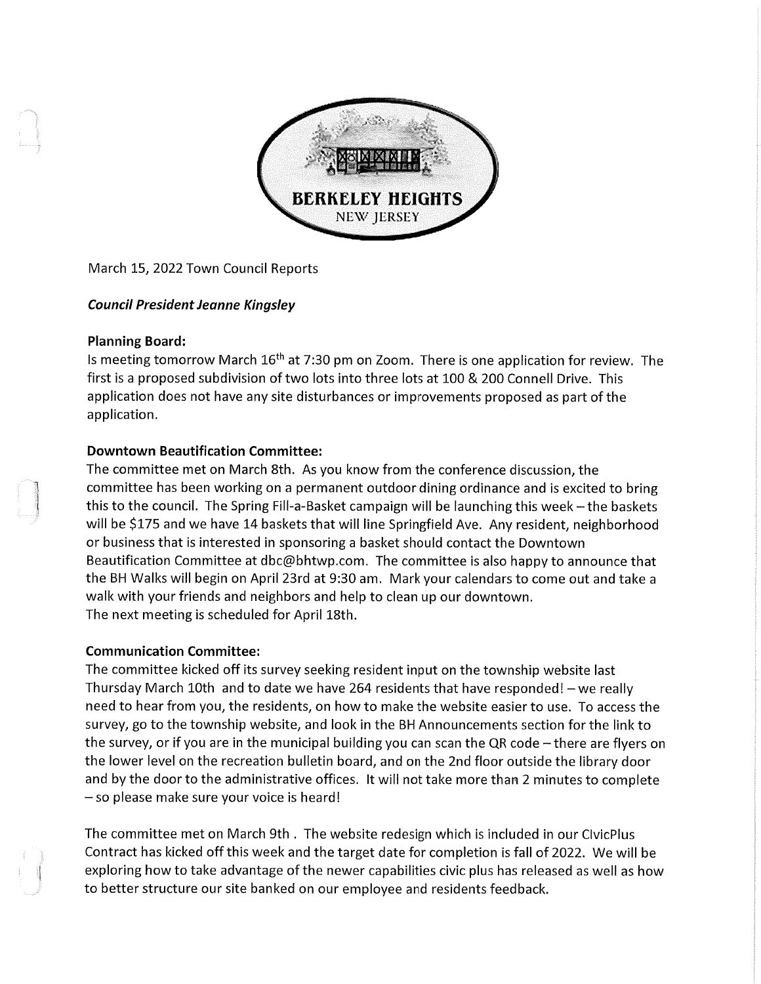

March 15, 2022 Town Council Reports

# Council President Jeanne Kingsley

## Planning Board:

Is meeting tomorrow March  $16<sup>th</sup>$  at 7:30 pm on Zoom. There is one application for review. The first is a proposed subdivision of two lots into three lots at 100 & 200 Connell Drive. This application does not have any site disturbances or improvements proposed as part of the application.

# Downtown Beautification Committee:

The committee met on March 8th. As you know from the conference discussion, the committee has been working on a permanent outdoor dining ordinance and is excited to bring this to the council. The Spring Fill-a-Basket campaign will be launching this week – the baskets will be \$175 and we have 14 baskets that will line Springfield Ave. Any resident, neighborhood or business that is interested in sponsoring a basket should contact the Downtown Beautification Committee at dbc@bhtwp.com. The committee is also happy to announce that the BH Walks will begin on April 23rd at 9:30 am. Mark your calendars to come out and take a walk with your friends and neighbors and help to clean up our downtown. The next meeting is scheduled for April 18th.

# Communication Committee:

The committee kicked off its survey seeking resident input on the township website last Thursday March 10th and to date we have 264 residents that have responded!  $-$  we really need to hear from you, the residents, on how to make the website easier to use. To access the survey, go to the township website, and look in the BH Announcements section for the link to the survey, or if you are in the municipal building you can scan the QR code  $-$  there are flyers on the lower level on the recreation bulletin board, and on the 2nd floor outside the library door and by the door to the administrative offices. It will not take more than 2 minutes to complete - so please make sure your voice is heard!

The committee met on March 9th . The website redesign which is included in our ClvicPlus Contract has kicked off this week and the target date for completion is fall of 2022. We will be exploring how to take advantage of the newer capabilities civic plus has released as well as how to better structure our site banked on our employee and residents feedback.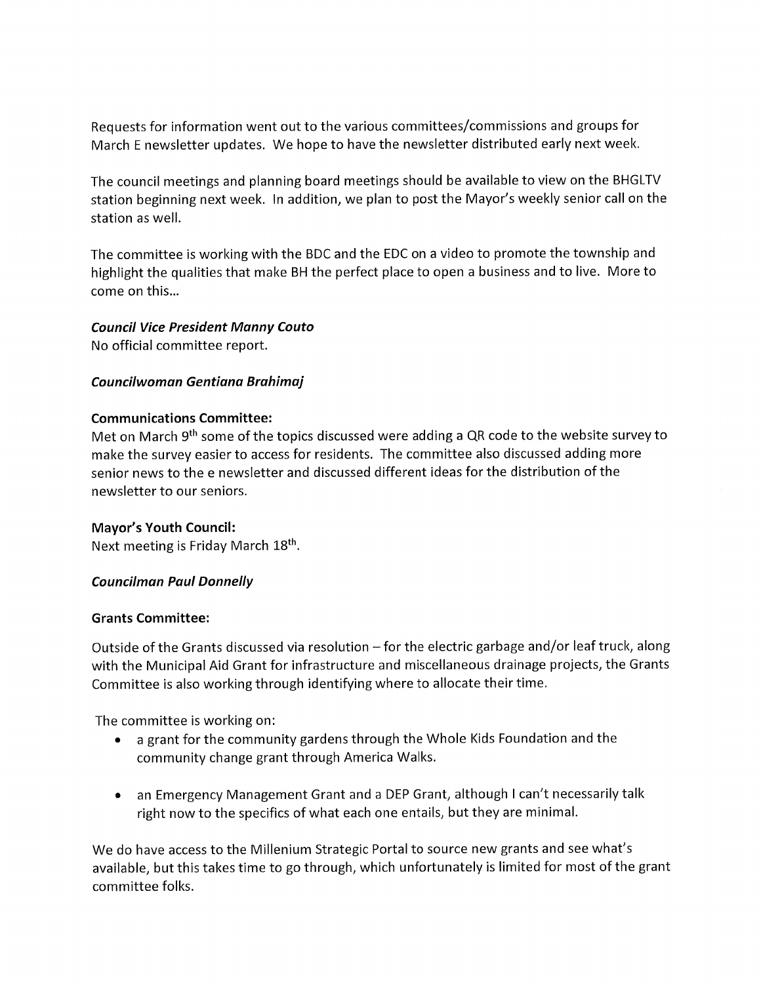Requests for information went out to the various committees/commissions and groups for March E newsletter updates. We hope to have the newsletter distributed early next week.

The council meetings and planning board meetings should be available to view on the BHGLTV station beginning next week. In addition, we plan to post the Mayor's weekly senior call on the station as well.

The committee is working with the BDC and the EDC on a video to promote the township and highlight the qualities that make BH the perfect place to open a business and to live. More to come on this...

# Council Vice President Manny Couto

No official committee report.

# Councilwoman Gentiana Brahimaj

# Communications Committee:

Met on March 9<sup>th</sup> some of the topics discussed were adding a QR code to the website survey to make the survey easier to access for residents. The committee also discussed adding more senior news to the e newsletter and discussed different ideas for the distribution of the newsletter to our seniors.

# Mayor's Youth Council:

Next meeting is Friday March 18<sup>th</sup>.

# Councilman Paul Donnelly

# Grants Committee:

Outside of the Grants discussed via resolution  $-$  for the electric garbage and/or leaf truck, along with the Municipal Aid Grant for infrastructure and miscellaneous drainage projects, the Grants Committee is also working through identifying where to allocate their time.

The committee is working on:

- a grant for the community gardens through the Whole Kids Foundation and the community change grant through America Walks.
- an Emergency Management Grant and a DEP Grant, although I can't necessarily talk right now to the specifics of what each one entails, but they are minimal.

We do have access to the Millenium Strategic Portal to source new grants and see what's available, but this takes time to go through, which unfortunately is limited for most of the grant committee folks.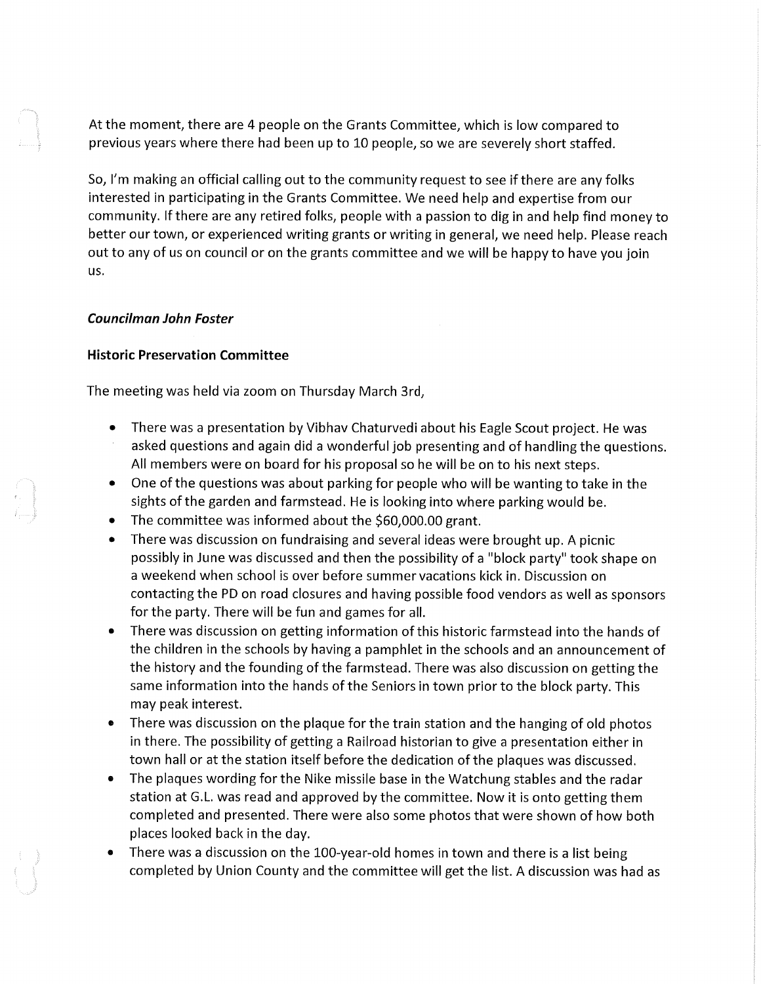At the moment, there are 4 people on the Grants Committee, which is low compared to previous years where there had been up to 10 people, so we are severely short staffed.

So, I'm making an official calling out to the community request to see if there are any folks interested in participating in the Grants Committee. We need help and expertise from our community. If there are any retired folks, people with a passion to dig in and help find money to better our town, or experienced writing grants or writing in general, we need help. Please reach out to any of us on council or on the grants committee and we will be happy to have you join us.

### Councilman John Foster

### Historic Preservation Committee

The meeting was held via zoom on Thursday March 3rd,

- There was a presentation by Vibhav Chaturvedi about his Eagle Scout project. He was asked questions and again did a wonderful job presenting and of handling the questions. All members were on board for his proposal so he will be on to his next steps.
- One of the questions was about parking for people who will be wanting to take in the sights of the garden and farmstead. He is looking into where parking would be.
- The committee was informed about the \$60,000.00 grant.
- There was discussion on fundraising and several ideas were brought up. A picnic possibly in June was discussed and then the possibility of a "block party" took shape on a weekend when school is over before summer vacations kick in. Discussion on contacting the PD on road closures and having possible food vendors as well as sponsors for the party. There will be fun and games for all.
- There was discussion on getting information of this historic farmstead into the hands of the children in the schools by having a pamphlet in the schools and an announcement of the history and the founding of the farmstead. There was also discussion on getting the same information into the hands of the Seniors in town prior to the block party. This may peak interest.
- » There was discussion on the plaque for the train station and the hanging of old photos in there. The possibility of getting a Railroad historian to give a presentation either in town hall or at the station itself before the dedication of the plaques was discussed.
- The plaques wording for the Nike missile base in the Watchung stables and the radar station at G.L. was read and approved by the committee. Now it is onto getting them completed and presented. There were also some photos that were shown of how both places looked back in the day.
- There was a discussion on the 100-year-old homes in town and there is a list being completed by Union County and the committee will get the list. A discussion was had as